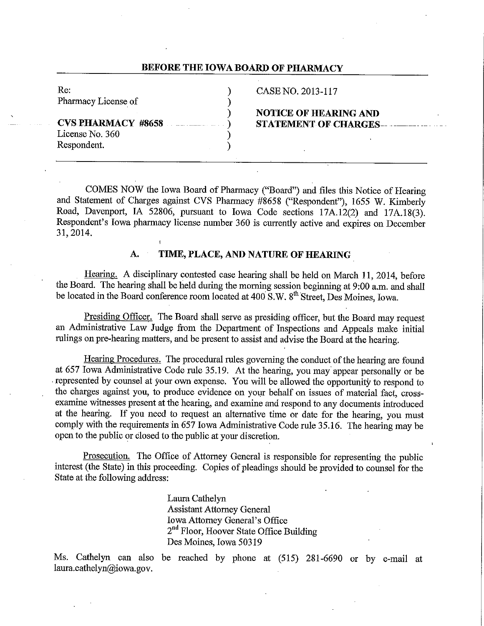## **BEFORE THE IOWA BOARD OF PHARMACY**

| Re:                 |  |
|---------------------|--|
| Pharmacy License of |  |
|                     |  |
|                     |  |
| License No. 360     |  |

Respondent.

## CASE NO. 2013-117

# ) **NOTICE OF HEARING AND STATEMENT OF CHARGES-----**

COMES NOW the Iowa Board of Pharmacy ("Board") and files this Notice of Hearing and Statement of Charges against CVS Pharmacy #8658 ("Respondent"), 1655 W. Kimberly Road, Davenport, IA 52806, pursuant to Iowa Code sections 17A.12(2) and 17A.18(3). Respondent's Iowa pharmacy license number 360 is currently active and expires on December 31, 2014.

## **A. TIME, PLACE, AND NATURE OF HEARING\_**

Hearing. A disciplinary contested case hearing shall be held on March **11,** 2014, before the Board. The hearing shall be held during the morning session beginning at 9:00 a.m. and shall be located in the Board conference room located at 400 S.W. 8<sup>th</sup> Street, Des Moines, Iowa.

Presiding Officer. The Board shall serve as presiding officer, but the Board may request an Administrative Law Judge from the Department of Inspections and Appeals make initial rulings on pre-hearing matters, and be present to assist and advise the Board at the hearing.

Hearing Procedures. The procedural rules governing the conduct of the hearing are found at 657 Iowa Administrative Code rule 35.19. At the hearing, you may· appear personally or be -represented by counsel at your own expense. You will be allowed the opportunity to respond to the charges against you, to produce evidence on your behalf on issues of material fact, crossexamine witnesses present at the hearing, and examine and respond to any documents introduced at the hearing. If you need to request an alternative time or date for the hearing, you must comply with the requirements in 657 Iowa Administrative Code rule 35.16. The hearing may be open to the public or closed to the public at your discretion.

Prosecution. The Office of Attorney General is responsible for representing the public interest (the State) in this proceeding. Copies of pleadings should be provided to counsel for the State at the following address:

> Laura Cathelyn Assistant Attorney General Iowa Attorney General's Office 2<sup>nd</sup> Floor, Hoover State Office Building Des Moines, Iowa 50319

Ms. Cathelyn can also be reached by phone at (515) 281-6690 or by e-mail at laura.cathelyn@iowa.gov.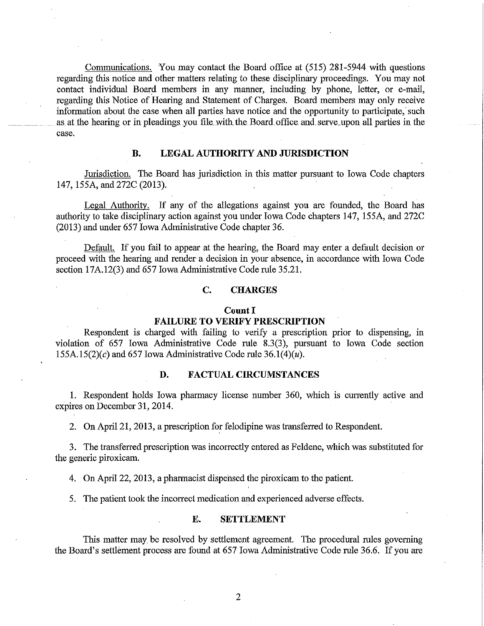Communications. You may contact the Board office at (515) 281-5944 with questions regarding this notice and other matters relating to these disciplinary proceedings. You may not contact individual Board members in any manner, including by phone, letter, or e-mail, regarding this Notice of Hearing and Statement of Charges. Board members may only receive information about the case when all parties have notice and the opportunity to participate, such as at the hearing or in pleadings you file with the Board office and serve\_upon all parties in the case.

## **B. LEGAL AUTHORITY AND JURISDICTION**

Jurisdiction. The Board has jurisdiction in this matter pursuant to Iowa Code chapters 147, 155A, and 272C (2013).

Legal Authority. If any of the allegations against you are founded, the Board has authority to talce disciplinary action against you under Iowa Code chapters 147, 155A, and 272C (2013) and under 657 Iowa Administrative Code chapter 36.

Default. If you fail to appear at the hearing, the Board may enter a default decision or proceed with the hearing and render a decision in your absence, in accordance with Iowa Code section 17A.12(3) and 657 Iowa Administrative Code rule 35.21.

# **C. CHARGES**

#### **Count I**

#### **FAILURE TO VERIFY PRESCRIPTION**

Respondent is charged with failing to verify a prescription prior to dispensing, in violation of 657 Iowa Administrative Code rule 8.3(3), pursuant to Iowa Code section 155A.15(2)(c) and 657 Iowa Administrative Code rule 36.1(4)(u).

## **D. FACTUAL CIRCUMSTANCES**

**1.** Respondent holds Iowa pharmacy license number 360, which is currently active and expires on December 31, 2014.

2. On April 21, 2013, a prescription for felodipine was transferred to Respondent.

3. The transferred prescription was incorrectly entered as Feldene, which was substituted for the generic piroxicam.

4. On April 22, 2013, a pharmacist dispensed the piroxicam to the patient.

5. The patient took the incorrect medication and experienced adverse effects.

#### **E. SETTLEMENT**

This matter may be resolved by settlement agreement. The procedural rules governing the Board's settlement process are found at 657 Iowa Administrative Code rule 36.6. If you are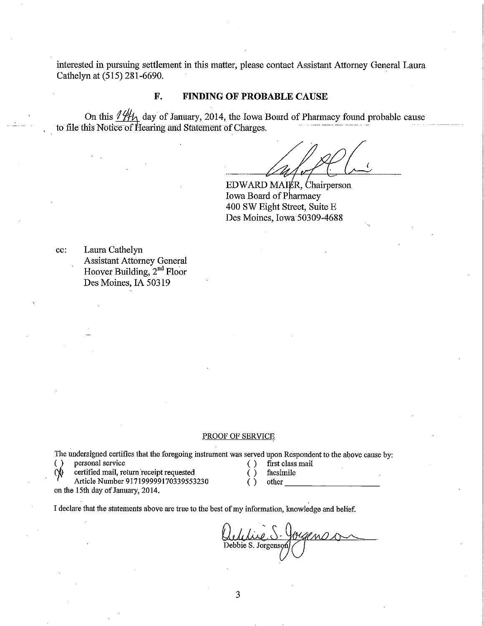interested in pursuing settlement in this matter, please contact Assistant Attorney General Laura Cathelyn at (515) 281-6690.

# **F. FINDING OF PROBABLE CAUSE**

On this  $\frac{1}{1}\frac{1}{1}\frac{1}{1}$  day of January, 2014, the Iowa Board of Pharmacy found probable cause to file this Notice of Hearing and Statement of Charges.

(

 $EDWARD MAIER, Chairperson$ Iowa Board of Pharmacy 400 SW Eight Street, Suite E Des Moines, Iowa 50309-4688

cc: Laura Cathelyn Assistant Attorney General Hoover Building, 2<sup>nd</sup> Floor Des Moines, IA 50319

#### PROOF OF SERVICE

The undersigned certifies that the foregoing instrument was served upon Respondent to the above cause by:<br>() personal service  $\left( \right)$  first class mail

<sup>~</sup>*)* personal service ( ) first class mail

 $\text{1}$  certified mail, return receipt requested  $\left( \begin{array}{cc} \cdot & \cdot \\ \cdot & \cdot \end{array} \right)$  facsimile

Article Number 917199999170339553230 () other

on the 15th day of January, 2014.

- 
- 

I declare that the statements above are true to the best of my information, knowledge and belief.

Outilie S-Jougens Debbie S. Jorgens(/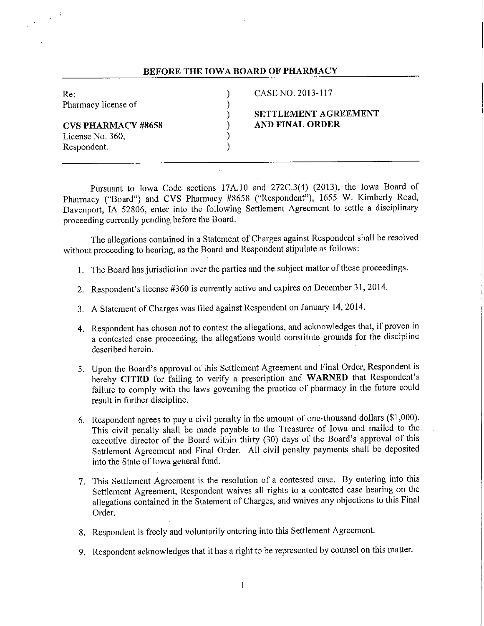### **BEFORE THE IOWA BOARD OF PHARMACY**

Re: (a) Re: (a) (b) CASE NO. 2013-117<br>Pharmacy license of (b) (b) Pharmacy license of )

**CVS PHARMACY #8658** ) **AND FINAL ORDER**  License No. 360. Respondent. )

# ) **SETTLEMENT AGREEMENT**

Pursuant to Iowa Code sections 17A.10 and 272C.3(4) (2013), the Iowa Board of Pharmacy ("Board") and CVS Pharmacy #8658 ("Respondent"), 1655 W. Kimberly Road, Davenport, IA 52806, enter into the following Settlement Agreement to settle a disciplinary proceeding currently pending before the Board.

The allegations contained in a Statement of Charges against Respondent shall be resolved without proceeding to hearing, as the Board and Respondent stipulate as follows:

- 1. The Board has jurisdiction over the parties and the subject matter of these proceedings.
- 2. Respondent's license #360 is currently active and expires on December 31, 2014.
- 3. A Statement of Charges was filed against Respondent on January 14, 2014.
- 4. Respondent has chosen not to contest the allegations, and acknowledges that, if proven in a contested case proceeding, the allegations would constitute grounds for the discipline described herein.
- 5. Upon the Board's approval of this Settlement Agreement and Final Order, Respondent is hereby **CITED** for failing to verify a prescription and **WARNED** that Respondent's failure to comply with the laws governing the practice of pharmacy in the future could result in further discipline.
- 6. Respondent agrees to pay a civil penalty in the amount of one-thousand dollars (\$1,000). This civil penalty shall be made payable to the Treasurer of Iowa and mailed to the executive director of the Board within thirty (30) days of the Board's approval of this Settlement Agreement and Final Order. All civil penalty payments shall be deposited into the State of Iowa general fund.
- 7. This Settlement Agreement is the resolution of a contested case. By entering into this Settlement Agreement, Respondent waives all rights to a contested case hearing on the allegations contained in the Statement of Charges, and waives any objections to this Final Order.
- 8. Respondent is freely and voluntarily entering into this Settlement Agreement.
- 9. Respondent acknowledges that it has a right to be represented by counsel on this matter.